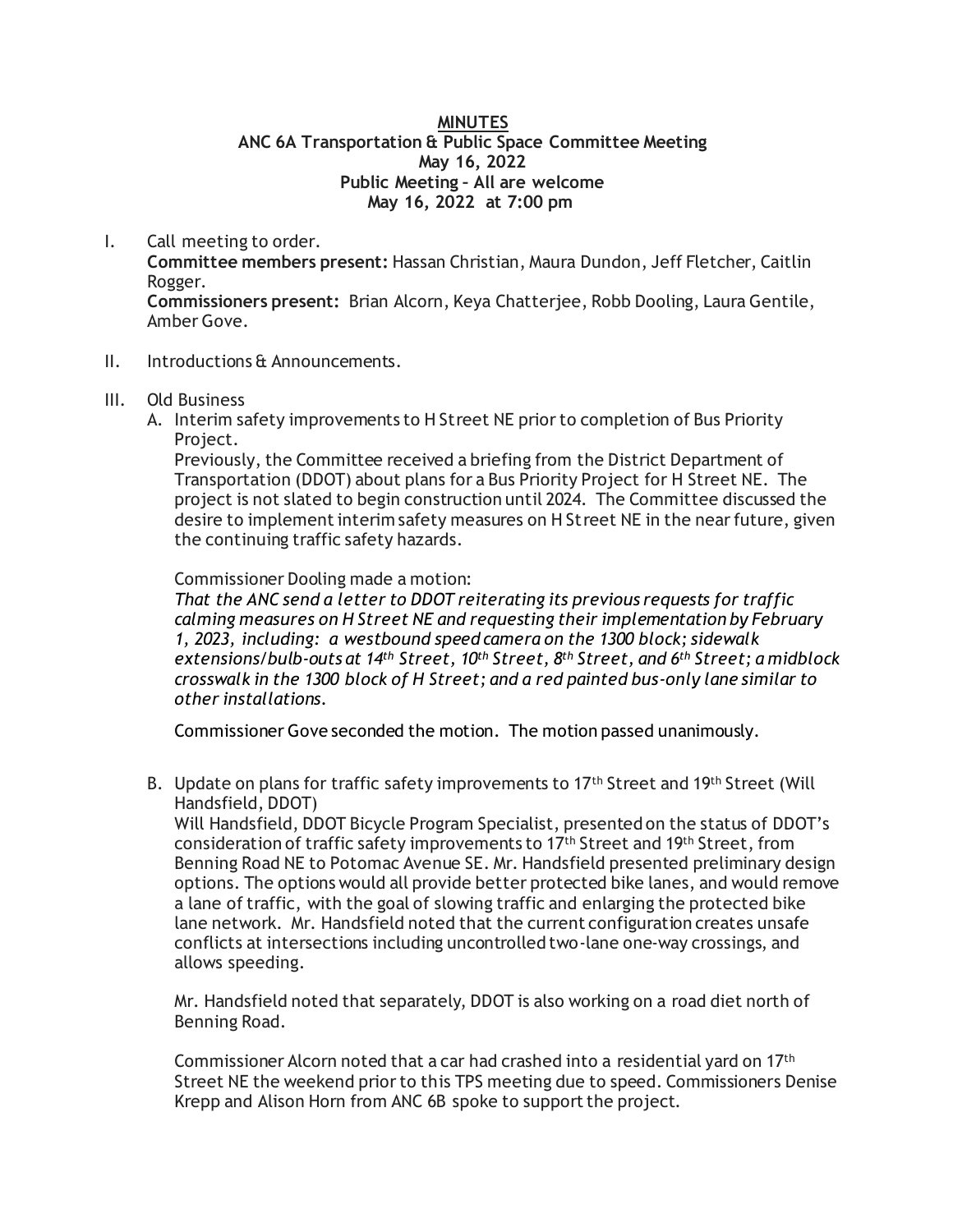### **MINUTES ANC 6A Transportation & Public Space Committee Meeting May 16, 2022 Public Meeting – All are welcome May 16, 2022 at 7:00 pm**

I. Call meeting to order.

**Committee members present:** Hassan Christian, Maura Dundon, Jeff Fletcher, Caitlin Rogger.

**Commissioners present:** Brian Alcorn, Keya Chatterjee, Robb Dooling, Laura Gentile, Amber Gove.

## II. Introductions & Announcements.

## III. Old Business

A. Interim safety improvements to H Street NE prior to completion of Bus Priority Project.

Previously, the Committee received a briefing from the District Department of Transportation (DDOT) about plans for a Bus Priority Project for H Street NE. The project is not slated to begin construction until 2024. The Committee discussed the desire to implement interim safety measures on H Street NE in the near future, given the continuing traffic safety hazards.

Commissioner Dooling made a motion:

*That the ANC send a letter to DDOT reiterating its previous requests for traffic calming measures on H Street NE and requesting their implementation by February 1, 2023, including: a westbound speed camera on the 1300 block; sidewalk extensions/bulb-outs at 14th Street, 10th Street, 8th Street, and 6th Street; a midblock crosswalk in the 1300 block of H Street; and a red painted bus-only lane similar to other installations.* 

Commissioner Gove seconded the motion. The motion passed unanimously.

B. Update on plans for traffic safety improvements to 17<sup>th</sup> Street and 19<sup>th</sup> Street (Will Handsfield, DDOT)

Will Handsfield, DDOT Bicycle Program Specialist, presented on the status of DDOT's consideration of traffic safety improvements to  $17<sup>th</sup>$  Street and  $19<sup>th</sup>$  Street, from Benning Road NE to Potomac Avenue SE. Mr. Handsfield presented preliminary design options. The options would all provide better protected bike lanes, and would remove a lane of traffic, with the goal of slowing traffic and enlarging the protected bike lane network. Mr. Handsfield noted that the current configuration creates unsafe conflicts at intersections including uncontrolled two-lane one-way crossings, and allows speeding.

Mr. Handsfield noted that separately, DDOT is also working on a road diet north of Benning Road.

Commissioner Alcorn noted that a car had crashed into a residential yard on 17th Street NE the weekend prior to this TPS meeting due to speed. Commissioners Denise Krepp and Alison Horn from ANC 6B spoke to support the project.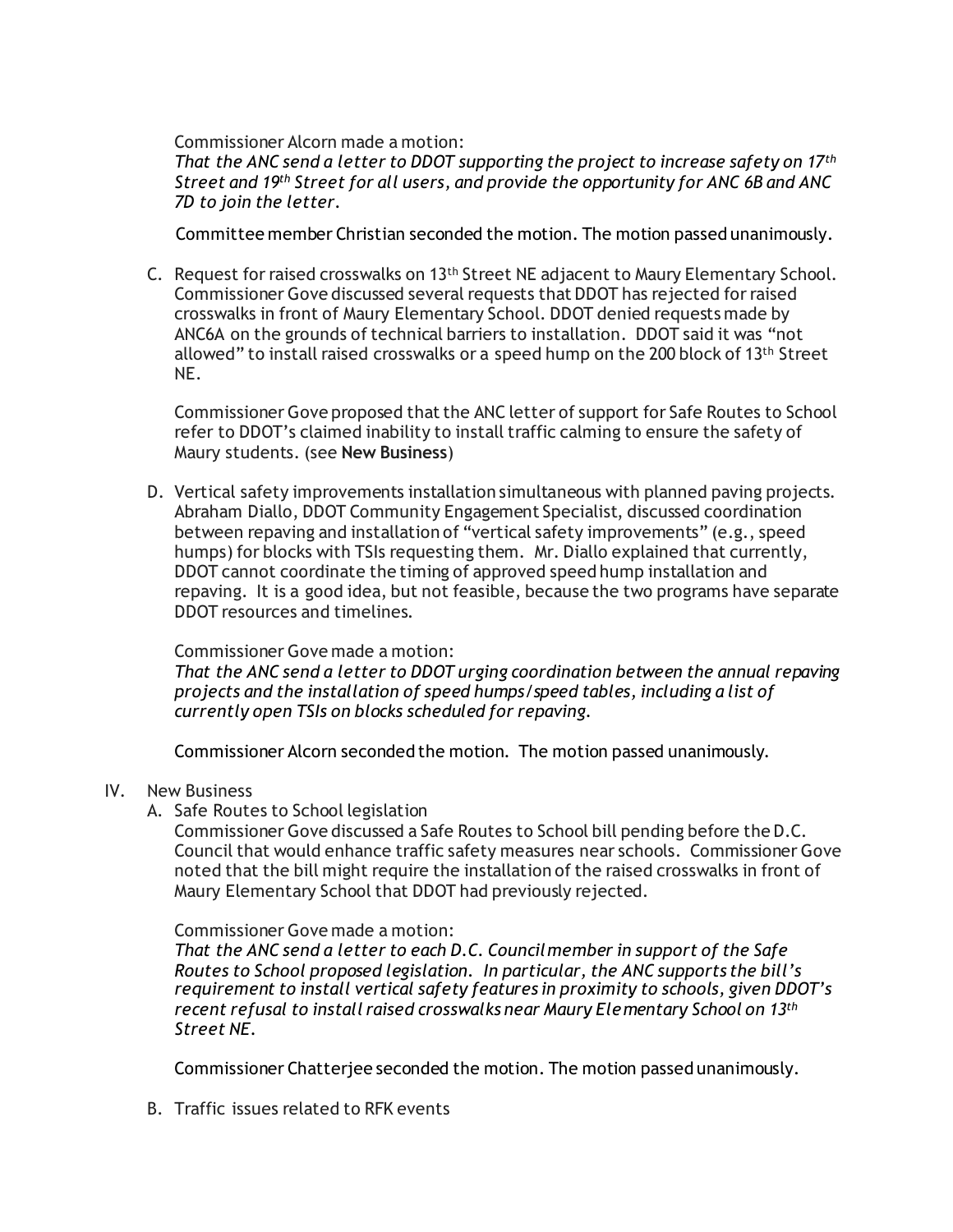Commissioner Alcorn made a motion:

*That the ANC send a letter to DDOT supporting the project to increase safety on 17th Street and 19th Street for all users, and provide the opportunity for ANC 6B and ANC 7D to join the letter.*

Committee member Christian seconded the motion. The motion passed unanimously.

C. Request for raised crosswalks on 13th Street NE adjacent to Maury Elementary School. Commissioner Gove discussed several requests that DDOT has rejected for raised crosswalks in front of Maury Elementary School. DDOT denied requests made by ANC6A on the grounds of technical barriers to installation. DDOT said it was "not allowed" to install raised crosswalks or a speed hump on the 200 block of 13th Street NE.

Commissioner Gove proposed that the ANC letter of support for Safe Routes to School refer to DDOT's claimed inability to install traffic calming to ensure the safety of Maury students. (see **New Business**)

D. Vertical safety improvements installation simultaneous with planned paving projects. Abraham Diallo, DDOT Community Engagement Specialist, discussed coordination between repaving and installation of "vertical safety improvements" (e.g., speed humps) for blocks with TSIs requesting them. Mr. Diallo explained that currently, DDOT cannot coordinate the timing of approved speed hump installation and repaving. It is a good idea, but not feasible, because the two programs have separate DDOT resources and timelines.

#### Commissioner Gove made a motion:

*That the ANC send a letter to DDOT urging coordination between the annual repaving projects and the installation of speed humps/speed tables, including a list of currently open TSIs on blocks scheduled for repaving.* 

Commissioner Alcorn seconded the motion. The motion passed unanimously.

# IV. New Business

A. Safe Routes to School legislation

Commissioner Gove discussed a Safe Routes to School bill pending before the D.C. Council that would enhance traffic safety measures near schools. Commissioner Gove noted that the bill might require the installation of the raised crosswalks in front of Maury Elementary School that DDOT had previously rejected.

#### Commissioner Gove made a motion:

*That the ANC send a letter to each D.C. Councilmember in support of the Safe Routes to School proposed legislation. In particular, the ANC supports the bill's requirement to install vertical safety features in proximity to schools, given DDOT's recent refusal to install raised crosswalks near Maury Elementary School on 13th Street NE.*

Commissioner Chatterjee seconded the motion. The motion passed unanimously.

B. Traffic issues related to RFK events